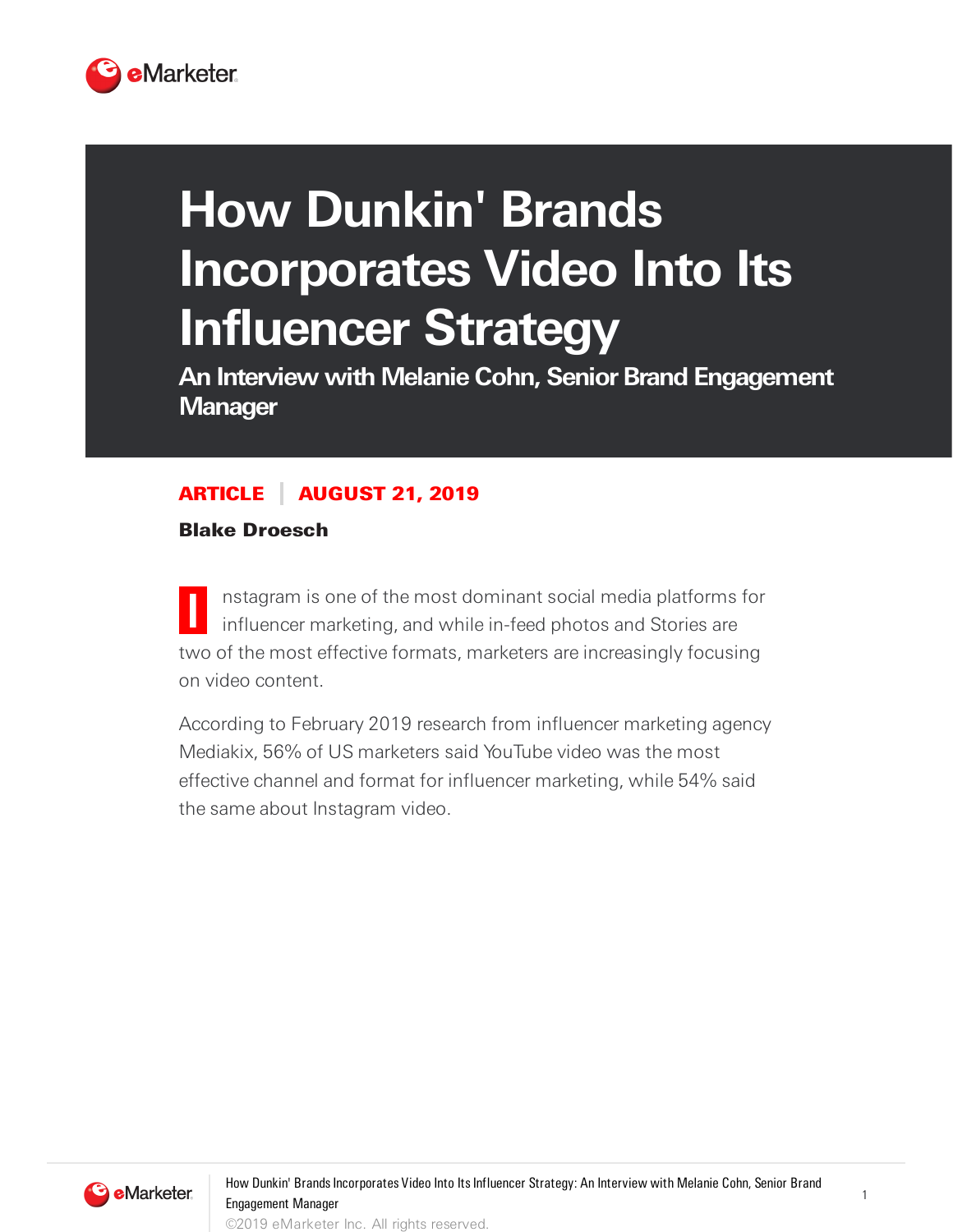

# **How Dunkin' Brands Incorporates Video Into Its Influencer Strategy**

**An Interview with Melanie Cohn, Senior Brand Engagement Manager**

## ARTICLE AUGUST 21, 2019

Blake Droesch

**I** nstagram is one of the most dominant social media platforms for influencer marketing, and while in-feed photos and Stories are two of the most effective formats, marketers are increasingly focusing on video content.

According to February 2019 research from influencer marketing agency Mediakix, 56% of US marketers said YouTube video was the most effective channel and format for influencer marketing, while 54% said the same about Instagram video.



1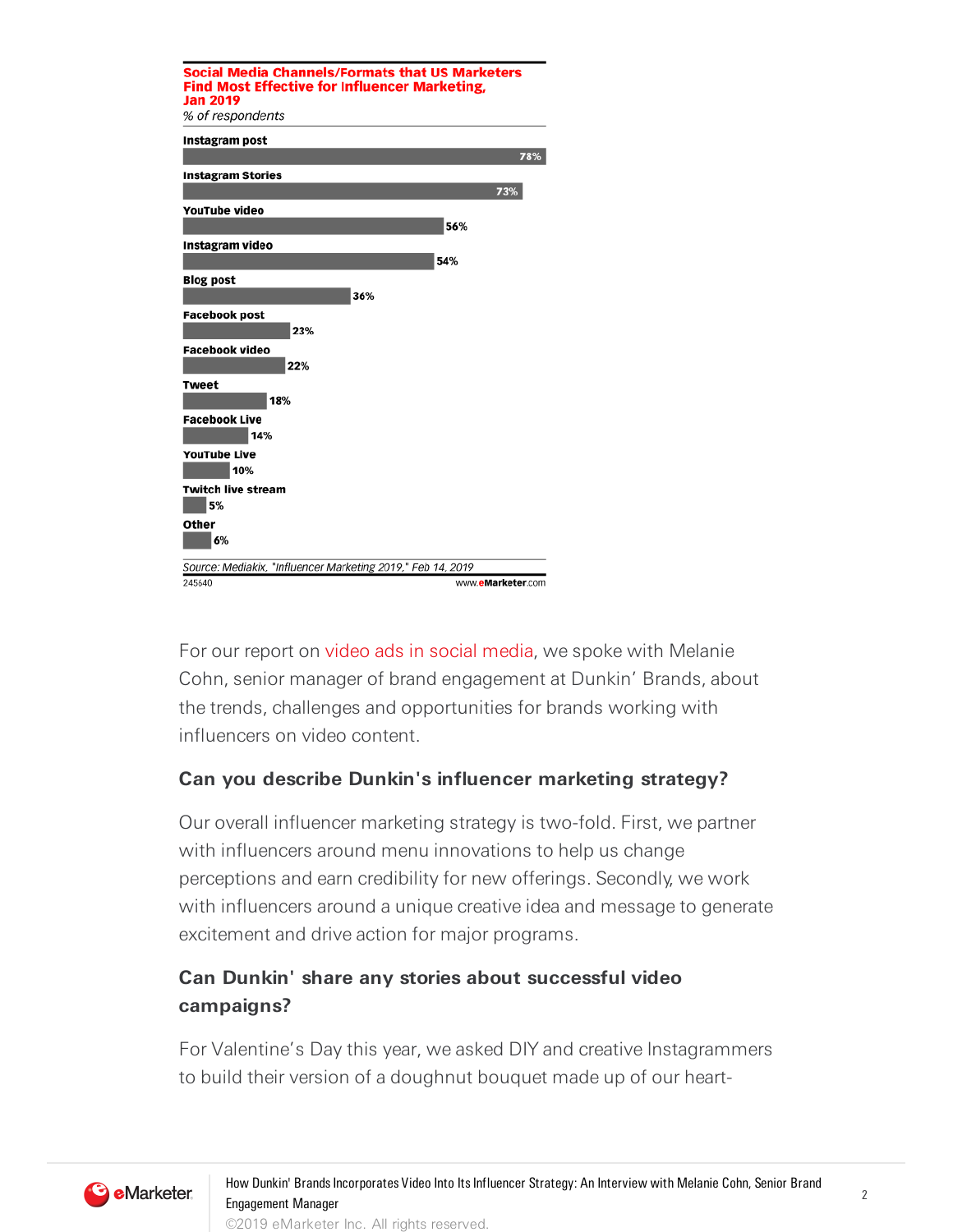

For our report on video ads in social media, we spoke with Melanie Cohn, senior manager of brand engagement at Dunkin' Brands, about the trends, challenges and opportunities for brands working with influencers on video content.

#### **Can you describe Dunkin's influencer marketing strategy?**

Our overall influencer marketing strategy is two-fold. First, we partner with influencers around menu innovations to help us change perceptions and earn credibility for new offerings. Secondly, we work with influencers around a unique creative idea and message to generate excitement and drive action for major programs.

## **Can Dunkin' share any stories about successful video campaigns?**

For Valentine's Day this year, we asked DIY and creative Instagrammers to build their version of a doughnut bouquet made up of our heart-

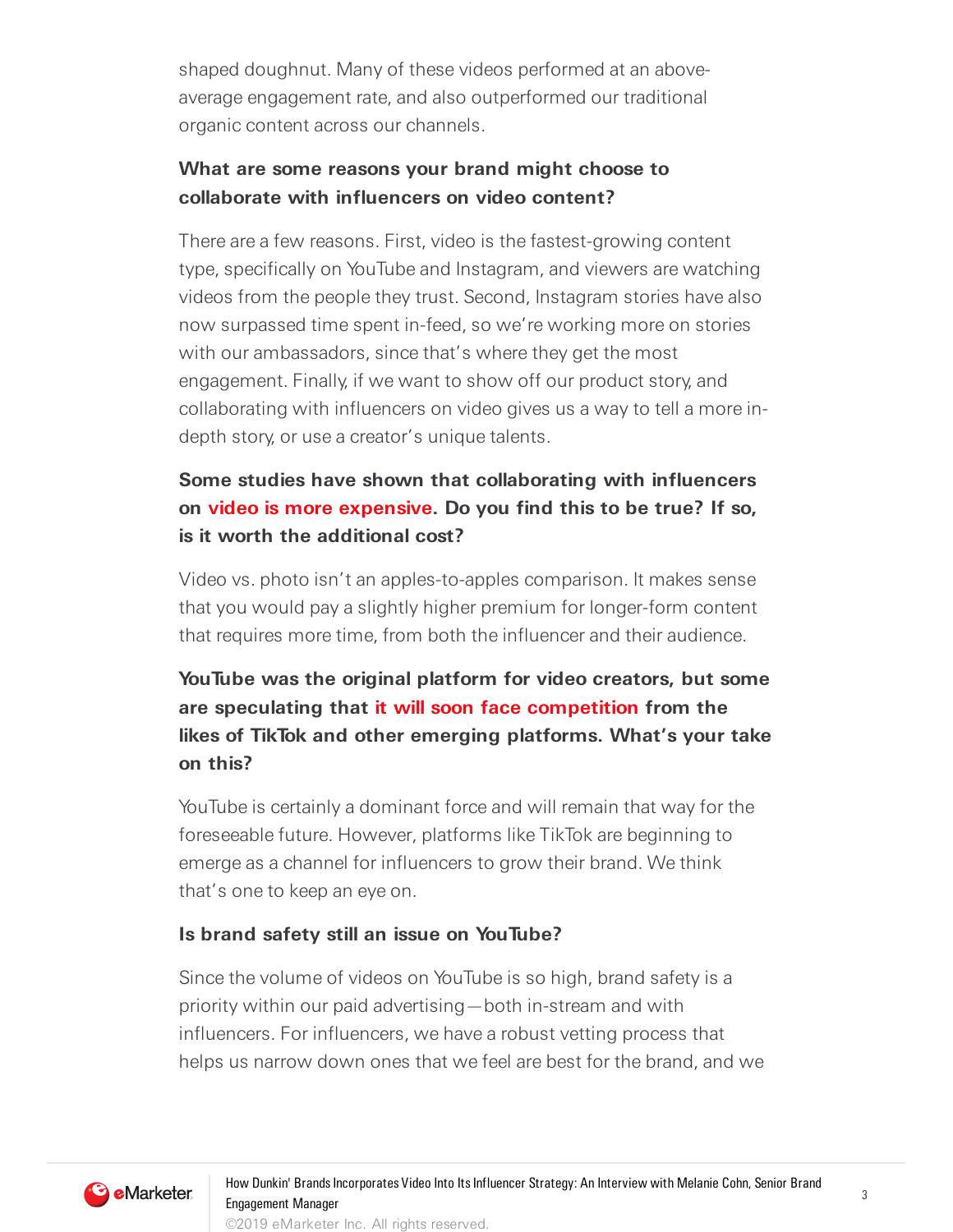shaped doughnut. Many of these videos performed at an aboveaverage engagement rate, and also outperformed our traditional organic content across our channels.

## **What are some reasons your brand might choose to collaborate with influencers on video content?**

There are a few reasons. First, video is the fastest-growing content type, specifically on YouTube and Instagram, and viewers are watching videos from the people they trust. Second, Instagram stories have also now surpassed time spent in-feed, so we're working more on stories with our ambassadors, since that's where they get the most engagement. Finally, if we want to show off our product story, and collaborating with influencers on video gives us a way to tell a more indepth story, or use a creator's unique talents.

## **Some studies have shown that collaborating with influencers on video is more expensive. Do you find this to be true? If so, is it worth the additional cost?**

Video vs. photo isn't an apples-to-apples comparison. It makes sense that you would pay a slightly higher premium for longer-form content that requires more time, from both the influencer and their audience.

# **YouTube was the original platform for video creators, but some are speculating that it will soon face competition from the likes of TikTok and other emerging platforms. What's your take on this?**

YouTube is certainly a dominant force and will remain that way for the foreseeable future. However, platforms like TikTok are beginning to emerge as a channel for influencers to grow their brand. We think that's one to keep an eye on.

#### **Is brand safety still an issue on YouTube?**

Since the volume of videos on YouTube is so high, brand safety is a priority within our paid advertising—both in-stream and with influencers. For influencers, we have a robust vetting process that helps us narrow down ones that we feel are best for the brand, and we